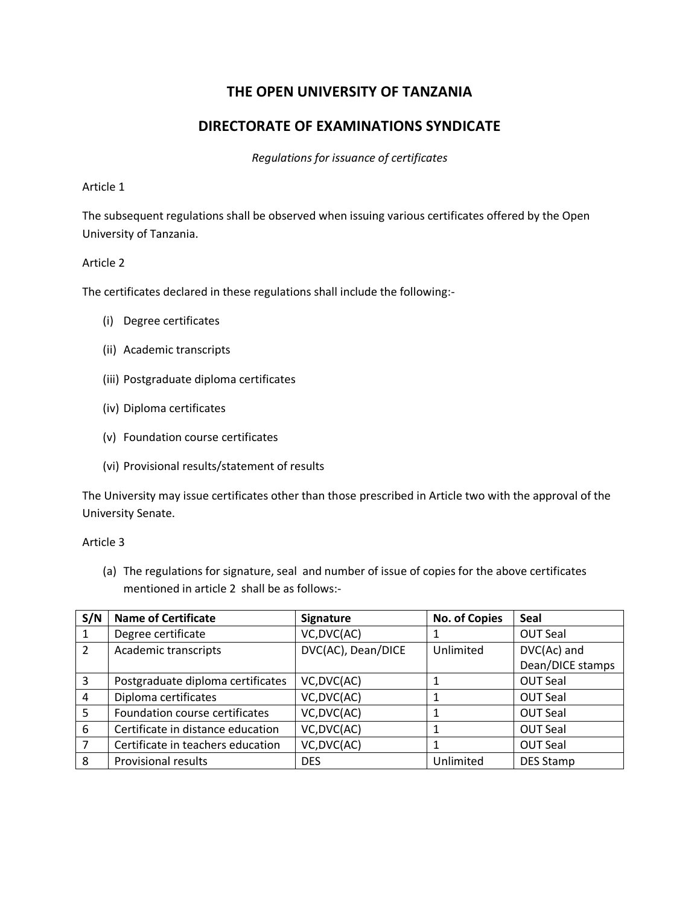# **THE OPEN UNIVERSITY OF TANZANIA**

# **DIRECTORATE OF EXAMINATIONS SYNDICATE**

*Regulations for issuance of certificates*

#### Article 1

The subsequent regulations shall be observed when issuing various certificates offered by the Open University of Tanzania.

### Article 2

The certificates declared in these regulations shall include the following:-

- (i) Degree certificates
- (ii) Academic transcripts
- (iii) Postgraduate diploma certificates
- (iv) Diploma certificates
- (v) Foundation course certificates
- (vi) Provisional results/statement of results

The University may issue certificates other than those prescribed in Article two with the approval of the University Senate.

Article 3

(a) The regulations for signature, seal and number of issue of copies for the above certificates mentioned in article 2 shall be as follows:-

| S/N | <b>Name of Certificate</b>        | Signature          | <b>No. of Copies</b> | <b>Seal</b>      |
|-----|-----------------------------------|--------------------|----------------------|------------------|
| 1   | Degree certificate                | VC, DVC(AC)        |                      | <b>OUT Seal</b>  |
| 2   | Academic transcripts              | DVC(AC), Dean/DICE | Unlimited            | DVC(Ac) and      |
|     |                                   |                    |                      | Dean/DICE stamps |
| 3   | Postgraduate diploma certificates | VC, DVC(AC)        |                      | <b>OUT Seal</b>  |
| 4   | Diploma certificates              | VC, DVC(AC)        |                      | <b>OUT Seal</b>  |
| 5   | Foundation course certificates    | VC, DVC(AC)        |                      | <b>OUT Seal</b>  |
| 6   | Certificate in distance education | VC, DVC(AC)        |                      | <b>OUT Seal</b>  |
| 7   | Certificate in teachers education | VC, DVC(AC)        |                      | <b>OUT Seal</b>  |
| 8   | <b>Provisional results</b>        | <b>DES</b>         | Unlimited            | <b>DES Stamp</b> |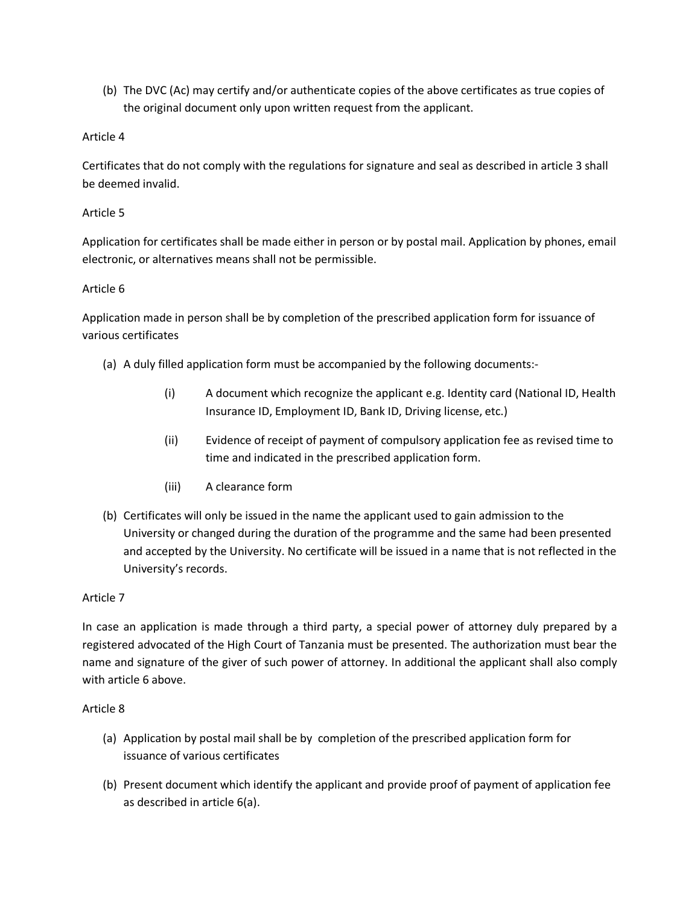(b) The DVC (Ac) may certify and/or authenticate copies of the above certificates as true copies of the original document only upon written request from the applicant.

# Article 4

Certificates that do not comply with the regulations for signature and seal as described in article 3 shall be deemed invalid.

# Article 5

Application for certificates shall be made either in person or by postal mail. Application by phones, email electronic, or alternatives means shall not be permissible.

# Article 6

Application made in person shall be by completion of the prescribed application form for issuance of various certificates

- (a) A duly filled application form must be accompanied by the following documents:-
	- (i) A document which recognize the applicant e.g. Identity card (National ID, Health Insurance ID, Employment ID, Bank ID, Driving license, etc.)
	- (ii) Evidence of receipt of payment of compulsory application fee as revised time to time and indicated in the prescribed application form.
	- (iii) A clearance form
- (b) Certificates will only be issued in the name the applicant used to gain admission to the University or changed during the duration of the programme and the same had been presented and accepted by the University. No certificate will be issued in a name that is not reflected in the University's records.

# Article 7

In case an application is made through a third party, a special power of attorney duly prepared by a registered advocated of the High Court of Tanzania must be presented. The authorization must bear the name and signature of the giver of such power of attorney. In additional the applicant shall also comply with article 6 above.

### Article 8

- (a) Application by postal mail shall be by completion of the prescribed application form for issuance of various certificates
- (b) Present document which identify the applicant and provide proof of payment of application fee as described in article 6(a).